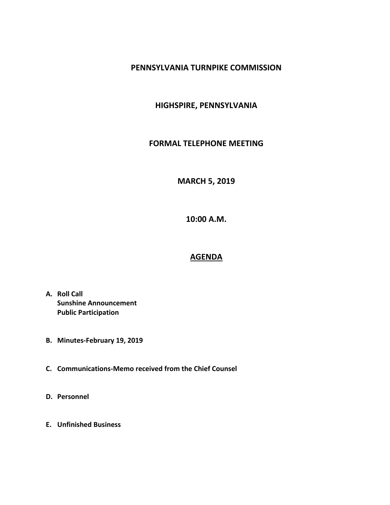## **PENNSYLVANIA TURNPIKE COMMISSION**

## **HIGHSPIRE, PENNSYLVANIA**

#### **FORMAL TELEPHONE MEETING**

# **MARCH 5, 2019**

**10:00 A.M.**

# **AGENDA**

- **A. Roll Call Sunshine Announcement Public Participation**
- **B. Minutes-February 19, 2019**
- **C. Communications-Memo received from the Chief Counsel**
- **D. Personnel**
- **E. Unfinished Business**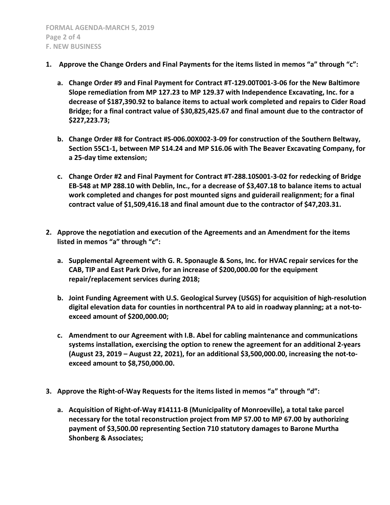- **1. Approve the Change Orders and Final Payments for the items listed in memos "a" through "c":**
	- **a. Change Order #9 and Final Payment for Contract #T-129.00T001-3-06 for the New Baltimore Slope remediation from MP 127.23 to MP 129.37 with Independence Excavating, Inc. for a decrease of \$187,390.92 to balance items to actual work completed and repairs to Cider Road Bridge; for a final contract value of \$30,825,425.67 and final amount due to the contractor of \$227,223.73;**
	- **b. Change Order #8 for Contract #S-006.00X002-3-09 for construction of the Southern Beltway, Section 55C1-1, between MP S14.24 and MP S16.06 with The Beaver Excavating Company, for a 25-day time extension;**
	- **c. Change Order #2 and Final Payment for Contract #T-288.10S001-3-02 for redecking of Bridge EB-548 at MP 288.10 with Deblin, Inc., for a decrease of \$3,407.18 to balance items to actual work completed and changes for post mounted signs and guiderail realignment; for a final contract value of \$1,509,416.18 and final amount due to the contractor of \$47,203.31.**
- **2. Approve the negotiation and execution of the Agreements and an Amendment for the items listed in memos "a" through "c":**
	- **a. Supplemental Agreement with G. R. Sponaugle & Sons, Inc. for HVAC repair services for the CAB, TIP and East Park Drive, for an increase of \$200,000.00 for the equipment repair/replacement services during 2018;**
	- **b. Joint Funding Agreement with U.S. Geological Survey (USGS) for acquisition of high-resolution digital elevation data for counties in northcentral PA to aid in roadway planning; at a not-toexceed amount of \$200,000.00;**
	- **c. Amendment to our Agreement with I.B. Abel for cabling maintenance and communications systems installation, exercising the option to renew the agreement for an additional 2-years (August 23, 2019 – August 22, 2021), for an additional \$3,500,000.00, increasing the not-toexceed amount to \$8,750,000.00.**
- **3. Approve the Right-of-Way Requests for the items listed in memos "a" through "d":**
	- **a. Acquisition of Right-of-Way #14111-B (Municipality of Monroeville), a total take parcel necessary for the total reconstruction project from MP 57.00 to MP 67.00 by authorizing payment of \$3,500.00 representing Section 710 statutory damages to Barone Murtha Shonberg & Associates;**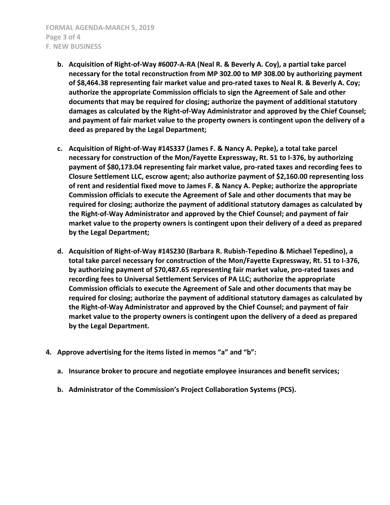- **b. Acquisition of Right-of-Way #6007-A-RA (Neal R. & Beverly A. Coy), a partial take parcel necessary for the total reconstruction from MP 302.00 to MP 308.00 by authorizing payment of \$8,464.38 representing fair market value and pro-rated taxes to Neal R. & Beverly A. Coy; authorize the appropriate Commission officials to sign the Agreement of Sale and other documents that may be required for closing; authorize the payment of additional statutory damages as calculated by the Right-of-Way Administrator and approved by the Chief Counsel; and payment of fair market value to the property owners is contingent upon the delivery of a deed as prepared by the Legal Department;**
- **c. Acquisition of Right-of-Way #14S337 (James F. & Nancy A. Pepke), a total take parcel necessary for construction of the Mon/Fayette Expressway, Rt. 51 to I-376, by authorizing payment of \$80,173.04 representing fair market value, pro-rated taxes and recording fees to Closure Settlement LLC, escrow agent; also authorize payment of \$2,160.00 representing loss of rent and residential fixed move to James F. & Nancy A. Pepke; authorize the appropriate Commission officials to execute the Agreement of Sale and other documents that may be required for closing; authorize the payment of additional statutory damages as calculated by the Right-of-Way Administrator and approved by the Chief Counsel; and payment of fair market value to the property owners is contingent upon their delivery of a deed as prepared by the Legal Department;**
- **d. Acquisition of Right-of-Way #14S230 (Barbara R. Rubish-Tepedino & Michael Tepedino), a total take parcel necessary for construction of the Mon/Fayette Expressway, Rt. 51 to I-376, by authorizing payment of \$70,487.65 representing fair market value, pro-rated taxes and recording fees to Universal Settlement Services of PA LLC; authorize the appropriate Commission officials to execute the Agreement of Sale and other documents that may be required for closing; authorize the payment of additional statutory damages as calculated by the Right-of-Way Administrator and approved by the Chief Counsel; and payment of fair market value to the property owners is contingent upon the delivery of a deed as prepared by the Legal Department.**
- **4. Approve advertising for the items listed in memos "a" and "b":**
	- **a. Insurance broker to procure and negotiate employee insurances and benefit services;**
	- **b. Administrator of the Commission's Project Collaboration Systems (PCS).**